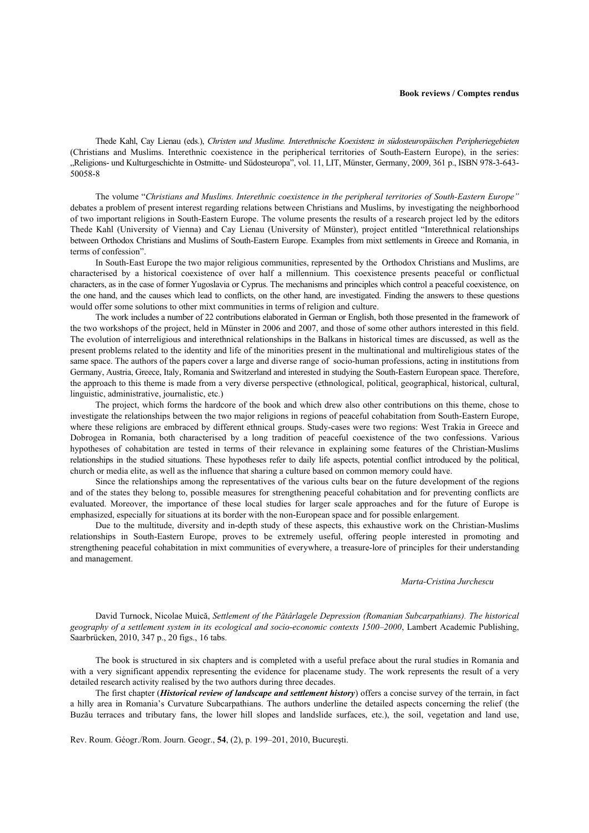## **Book reviews / Comptes rendus**

Thede Kahl, Cay Lienau (eds.), *Christen und Muslime. Interethnische Koexistenz in südosteuropäischen Peripheriegebieten*  (Christians and Muslims. Interethnic coexistence in the peripherical territories of South-Eastern Europe), in the series: "Religions- und Kulturgeschichte in Ostmitte- und Südosteuropa", vol. 11, LIT, Münster, Germany, 2009, 361 p., ISBN 978-3-643- 50058-8

The volume "*Christians and Muslims. Interethnic coexistence in the peripheral territories of South-Eastern Europe"*  debates a problem of present interest regarding relations between Christians and Muslims, by investigating the neighborhood of two important religions in South-Eastern Europe. The volume presents the results of a research project led by the editors Thede Kahl (University of Vienna) and Cay Lienau (University of Münster), project entitled "Interethnical relationships between Orthodox Christians and Muslims of South-Eastern Europe. Examples from mixt settlements in Greece and Romania, in terms of confession".

In South-East Europe the two major religious communities, represented by the Orthodox Christians and Muslims, are characterised by a historical coexistence of over half a millennium. This coexistence presents peaceful or conflictual characters, as in the case of former Yugoslavia or Cyprus. The mechanisms and principles which control a peaceful coexistence, on the one hand, and the causes which lead to conflicts, on the other hand, are investigated. Finding the answers to these questions would offer some solutions to other mixt communities in terms of religion and culture.

The work includes a number of 22 contributions elaborated in German or English, both those presented in the framework of the two workshops of the project, held in Münster in 2006 and 2007, and those of some other authors interested in this field. The evolution of interreligious and interethnical relationships in the Balkans in historical times are discussed, as well as the present problems related to the identity and life of the minorities present in the multinational and multireligious states of the same space. The authors of the papers cover a large and diverse range of socio-human professions, acting in institutions from Germany, Austria, Greece, Italy, Romania and Switzerland and interested in studying the South-Eastern European space. Therefore, the approach to this theme is made from a very diverse perspective (ethnological, political, geographical, historical, cultural, linguistic, administrative, journalistic, etc.)

The project, which forms the hardcore of the book and which drew also other contributions on this theme, chose to investigate the relationships between the two major religions in regions of peaceful cohabitation from South-Eastern Europe, where these religions are embraced by different ethnical groups. Study-cases were two regions: West Trakia in Greece and Dobrogea in Romania, both characterised by a long tradition of peaceful coexistence of the two confessions. Various hypotheses of cohabitation are tested in terms of their relevance in explaining some features of the Christian-Muslims relationships in the studied situations. These hypotheses refer to daily life aspects, potential conflict introduced by the political, church or media elite, as well as the influence that sharing a culture based on common memory could have.

Since the relationships among the representatives of the various cults bear on the future development of the regions and of the states they belong to, possible measures for strengthening peaceful cohabitation and for preventing conflicts are evaluated. Moreover, the importance of these local studies for larger scale approaches and for the future of Europe is emphasized, especially for situations at its border with the non-European space and for possible enlargement.

Due to the multitude, diversity and in-depth study of these aspects, this exhaustive work on the Christian-Muslims relationships in South-Eastern Europe, proves to be extremely useful, offering people interested in promoting and strengthening peaceful cohabitation in mixt communities of everywhere, a treasure-lore of principles for their understanding and management.

## *Marta-Cristina Jurchescu*

David Turnock, Nicolae Muică, *Settlement of the Pătârlagele Depression (Romanian Subcarpathians). The historical geography of a settlement system in its ecological and socio-economic contexts 1500–2000*, Lambert Academic Publishing, Saarbrücken, 2010, 347 p., 20 figs., 16 tabs.

The book is structured in six chapters and is completed with a useful preface about the rural studies in Romania and with a very significant appendix representing the evidence for placename study. The work represents the result of a very detailed research activity realised by the two authors during three decades.

The first chapter (*Historical review of landscape and settlement history*) offers a concise survey of the terrain, in fact a hilly area in Romania's Curvature Subcarpathians. The authors underline the detailed aspects concerning the relief (the Buzău terraces and tributary fans, the lower hill slopes and landslide surfaces, etc.), the soil, vegetation and land use,

Rev. Roum. Géogr./Rom. Journ. Geogr., **54**, (2), p. 199–201, 2010, Bucureşti.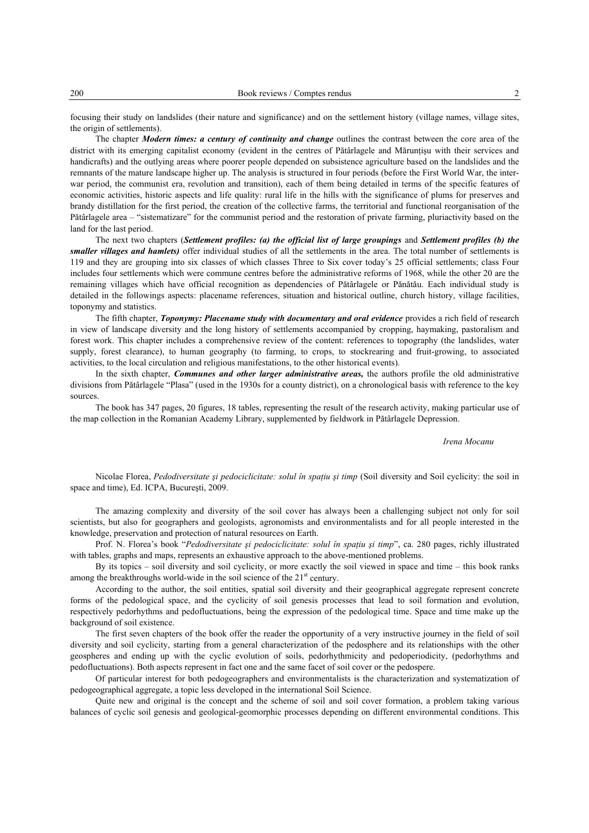focusing their study on landslides (their nature and significance) and on the settlement history (village names, village sites, the origin of settlements).

The chapter *Modern times: a century of continuity and change* outlines the contrast between the core area of the district with its emerging capitalist economy (evident in the centres of Pătârlagele and Măruntisu with their services and handicrafts) and the outlying areas where poorer people depended on subsistence agriculture based on the landslides and the remnants of the mature landscape higher up. The analysis is structured in four periods (before the First World War, the interwar period, the communist era, revolution and transition), each of them being detailed in terms of the specific features of economic activities, historic aspects and life quality: rural life in the hills with the significance of plums for preserves and brandy distillation for the first period, the creation of the collective farms, the territorial and functional reorganisation of the Pătârlagele area – "sistematizare" for the communist period and the restoration of private farming, pluriactivity based on the land for the last period.

The next two chapters (*Settlement profiles: (a) the official list of large groupings* and *Settlement profiles (b) the smaller villages and hamlets)* offer individual studies of all the settlements in the area. The total number of settlements is 119 and they are grouping into six classes of which classes Three to Six cover today's 25 official settlements; class Four includes four settlements which were commune centres before the administrative reforms of 1968, while the other 20 are the remaining villages which have official recognition as dependencies of Pătârlagele or Pănătău. Each individual study is detailed in the followings aspects: placename references, situation and historical outline, church history, village facilities, toponymy and statistics.

The fifth chapter, *Toponymy: Placename study with documentary and oral evidence* provides a rich field of research in view of landscape diversity and the long history of settlements accompanied by cropping, haymaking, pastoralism and forest work. This chapter includes a comprehensive review of the content: references to topography (the landslides, water supply, forest clearance), to human geography (to farming, to crops, to stockrearing and fruit-growing, to associated activities, to the local circulation and religious manifestations, to the other historical events).

In the sixth chapter, *Communes and other larger administrative areas,* the authors profile the old administrative divisions from Pătârlagele "Plasa" (used in the 1930s for a county district), on a chronological basis with reference to the key sources.

The book has 347 pages, 20 figures, 18 tables, representing the result of the research activity, making particular use of the map collection in the Romanian Academy Library, supplemented by fieldwork in Pătârlagele Depression.

## *Irena Mocanu*

Nicolae Florea, *Pedodiversitate şi pedociclicitate: solul în spaţiu şi timp* (Soil diversity and Soil cyclicity: the soil in space and time), Ed. ICPA, Bucureşti, 2009.

The amazing complexity and diversity of the soil cover has always been a challenging subject not only for soil scientists, but also for geographers and geologists, agronomists and environmentalists and for all people interested in the knowledge, preservation and protection of natural resources on Earth.

Prof. N. Florea's book "*Pedodiversitate şi pedociclicitate: solul în spaţiu şi timp*", ca. 280 pages, richly illustrated with tables, graphs and maps, represents an exhaustive approach to the above-mentioned problems.

By its topics – soil diversity and soil cyclicity, or more exactly the soil viewed in space and time – this book ranks among the breakthroughs world-wide in the soil science of the  $21<sup>st</sup>$  century.

According to the author, the soil entities, spatial soil diversity and their geographical aggregate represent concrete forms of the pedological space, and the cyclicity of soil genesis processes that lead to soil formation and evolution, respectively pedorhythms and pedofluctuations, being the expression of the pedological time. Space and time make up the background of soil existence.

The first seven chapters of the book offer the reader the opportunity of a very instructive journey in the field of soil diversity and soil cyclicity, starting from a general characterization of the pedosphere and its relationships with the other geospheres and ending up with the cyclic evolution of soils, pedorhythmicity and pedoperiodicity, (pedorhythms and pedofluctuations). Both aspects represent in fact one and the same facet of soil cover or the pedospere.

Of particular interest for both pedogeographers and environmentalists is the characterization and systematization of pedogeographical aggregate, a topic less developed in the international Soil Science.

Quite new and original is the concept and the scheme of soil and soil cover formation, a problem taking various balances of cyclic soil genesis and geological-geomorphic processes depending on different environmental conditions. This